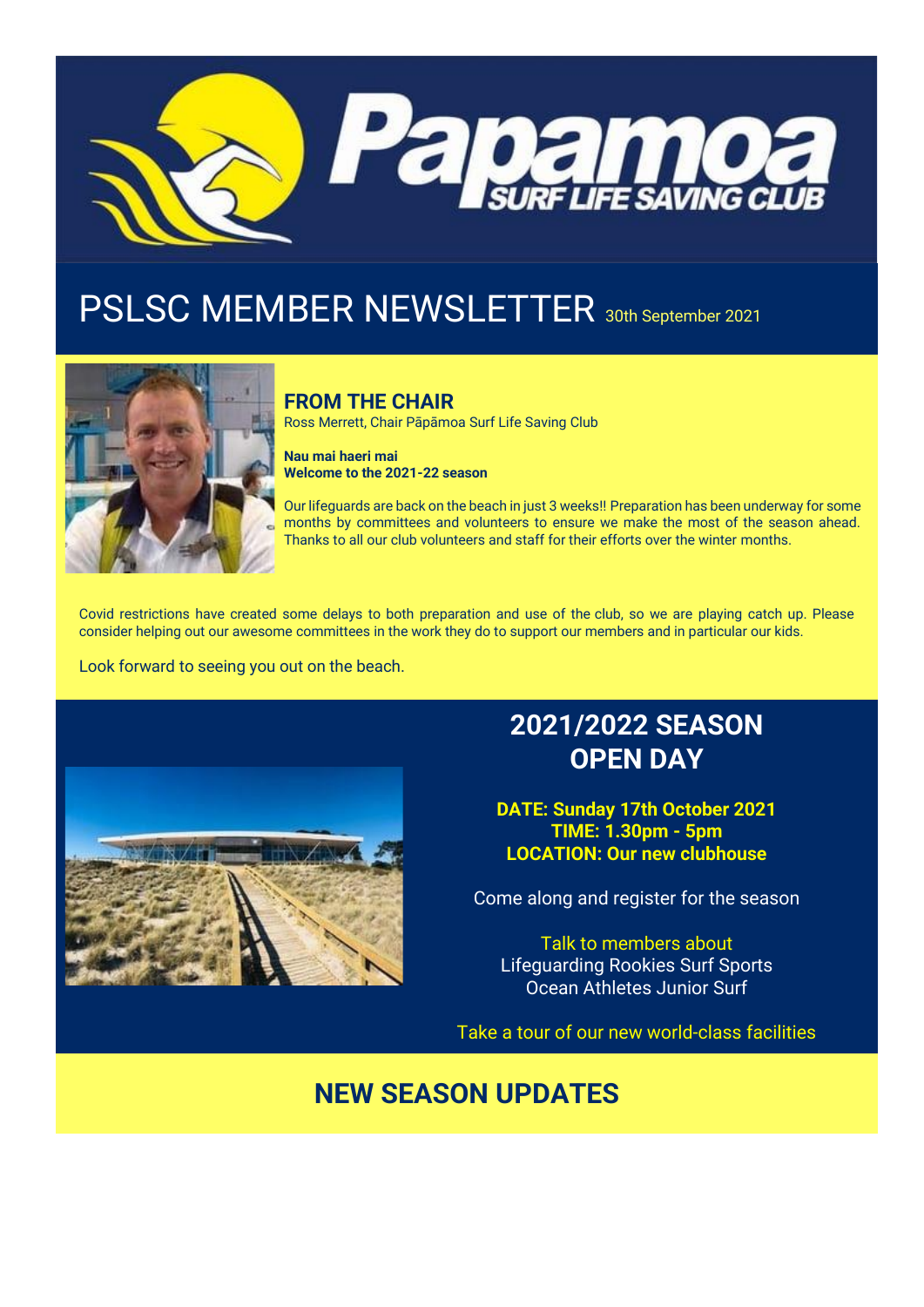

# PSLSC MEMBER NEWSLETTER 30th September 2021



### **FROM THE CHAIR**

Ross Merrett, Chair Pāpāmoa Surf Life Saving Club

**Nau mai haeri mai Welcome to the 2021-22 season**

Our lifeguards are back on the beach in just 3 weeks!! Preparation has been underway for some months by committees and volunteers to ensure we make the most of the season ahead. Thanks to all our club volunteers and staff for their efforts over the winter months.

Covid restrictions have created some delays to both preparation and use of the club, so we are playing catch up. Please consider helping out our awesome committees in the work they do to support our members and in particular our kids.

Look forward to seeing you out on the beach.



## **2021/2022 SEASON OPEN DAY**

**DATE: Sunday 17th October 2021 TIME: 1.30pm - 5pm LOCATION: Our new clubhouse**

Come along and register for the season

Talk to members about Lifeguarding Rookies Surf Sports Ocean Athletes Junior Surf

Take a tour of our new world-class facilities

## **NEW SEASON UPDATES**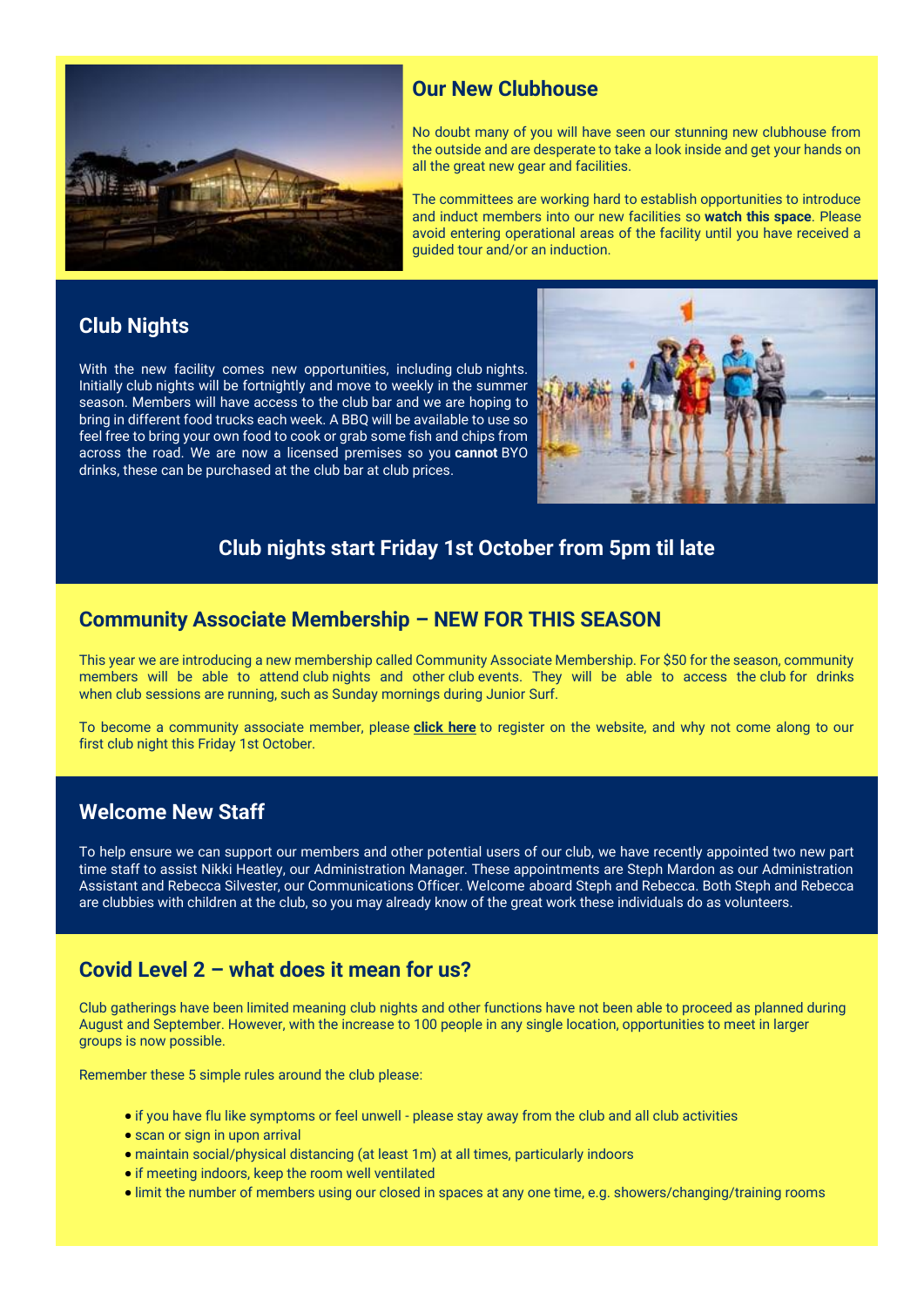

### **Our New Clubhouse**

No doubt many of you will have seen our stunning new clubhouse from the outside and are desperate to take a look inside and get your hands on all the great new gear and facilities.

The committees are working hard to establish opportunities to introduce and induct members into our new facilities so **watch this space**. Please avoid entering operational areas of the facility until you have received a guided tour and/or an induction.

### **Club Nights**

With the new facility comes new opportunities, including club nights. Initially club nights will be fortnightly and move to weekly in the summer season. Members will have access to the club bar and we are hoping to bring in different food trucks each week. A BBQ will be available to use so feel free to bring your own food to cook or grab some fish and chips from across the road. We are now a licensed premises so you **cannot** BYO drinks, these can be purchased at the club bar at club prices.



### **Club nights start Friday 1st October from 5pm til late**

### **Community Associate Membership – NEW FOR THIS SEASON**

This year we are introducing a new membership called Community Associate Membership. For \$50 for the season, community members will be able to attend club nights and other club events. They will be able to access the club for drinks when club sessions are running, such as Sunday mornings during Junior Surf.

To become a community associate member, please **[click here](https://papamoalifeguards.co.nz/register)** to register on the website, and why not come along to our first club night this Friday 1st October.

### **Welcome New Staff**

To help ensure we can support our members and other potential users of our club, we have recently appointed two new part time staff to assist Nikki Heatley, our Administration Manager. These appointments are Steph Mardon as our Administration Assistant and Rebecca Silvester, our Communications Officer. Welcome aboard Steph and Rebecca. Both Steph and Rebecca are clubbies with children at the club, so you may already know of the great work these individuals do as volunteers.

### **Covid Level 2 – what does it mean for us?**

Club gatherings have been limited meaning club nights and other functions have not been able to proceed as planned during August and September. However, with the increase to 100 people in any single location, opportunities to meet in larger groups is now possible.

Remember these 5 simple rules around the club please:

- if you have flu like symptoms or feel unwell please stay away from the club and all club activities
- scan or sign in upon arrival
- maintain social/physical distancing (at least 1m) at all times, particularly indoors
- if meeting indoors, keep the room well ventilated
- limit the number of members using our closed in spaces at any one time, e.g. showers/changing/training rooms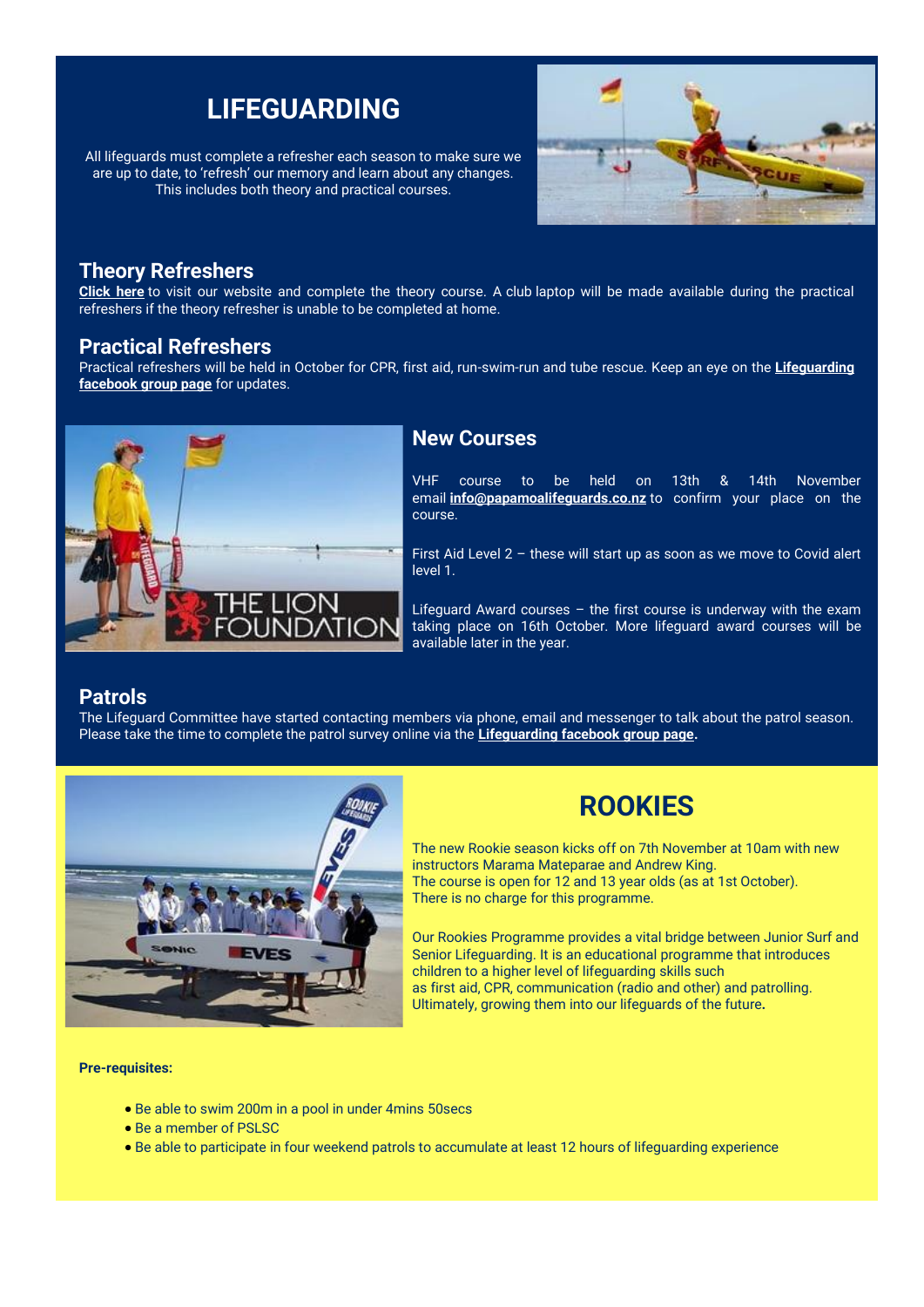## **LIFEGUARDING**

All lifeguards must complete a refresher each season to make sure we are up to date, to 'refresh' our memory and learn about any changes. This includes both theory and practical courses.



#### **Theory Refreshers**

**[Click here](https://papamoalifeguards.co.nz/lifeguarding)** to visit our website and complete the theory course. A club laptop will be made available during the practical refreshers if the theory refresher is unable to be completed at home.

#### **Practical Refreshers**

Practical refreshers will be held in October for CPR, first aid, run-swim-run and tube rescue. Keep an eye on the **[Lifeguarding](https://www.facebook.com/groups/475572635954916)  [facebook group page](https://www.facebook.com/groups/475572635954916)** for updates.



#### **New Courses**

VHF course to be held on 13th & 14th November email **[info@papamoalifeguards.co.nz](https://papamoasurfclub.friendlymanager.com/editor/info@papamoalifeguards.co.nz)** to confirm your place on the course.

First Aid Level 2 – these will start up as soon as we move to Covid alert level 1.

Lifeguard Award courses – the first course is underway with the exam taking place on 16th October. More lifeguard award courses will be available later in the year.

#### **Patrols**

The Lifeguard Committee have started contacting members via phone, email and messenger to talk about the patrol season. Please take the time to complete the patrol survey online via the **[Lifeguarding facebook group page.](https://www.facebook.com/groups/475572635954916)**



## **ROOKIES**

The new Rookie season kicks off on 7th November at 10am with new instructors Marama Mateparae and Andrew King. The course is open for 12 and 13 year olds (as at 1st October). There is no charge for this programme.

Our Rookies Programme provides a vital bridge between Junior Surf and Senior Lifeguarding. It is an educational programme that introduces children to a higher level of lifeguarding skills such as first aid, CPR, communication (radio and other) and patrolling. Ultimately, growing them into our lifeguards of the future*.*

**Pre-requisites:** 

- Be able to swim 200m in a pool in under 4mins 50secs
- Be a member of PSLSC
- Be able to participate in four weekend patrols to accumulate at least 12 hours of lifeguarding experience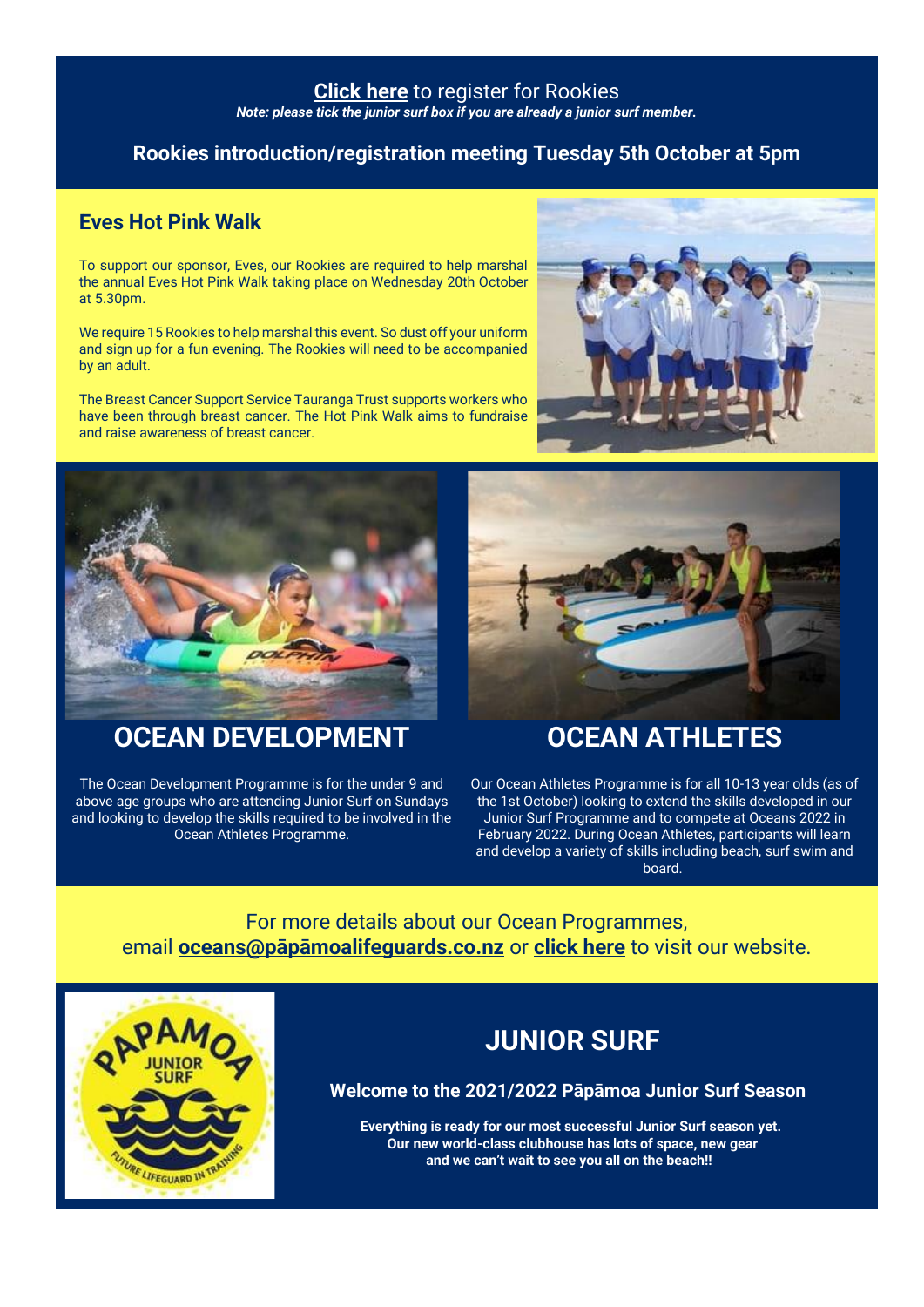#### **[Click here](https://papamoalifeguards.co.nz/lifeguarding/rookie-junior-lifeguarding)** to register for Rookies

*Note: please tick the junior surf box if you are already a junior surf member.*

### **Rookies introduction/registration meeting Tuesday 5th October at 5pm**

### **Eves Hot Pink Walk**

To support our sponsor, Eves, our Rookies are required to help marshal the annual Eves Hot Pink Walk taking place on Wednesday 20th October at 5.30pm.

We require 15 Rookies to help marshal this event. So dust off your uniform and sign up for a fun evening. The Rookies will need to be accompanied by an adult.

The Breast Cancer Support Service Tauranga Trust supports workers who have been through breast cancer. The Hot Pink Walk aims to fundraise and raise awareness of breast cancer.





## **OCEAN DEVELOPMENT**

The Ocean Development Programme is for the under 9 and above age groups who are attending Junior Surf on Sundays and looking to develop the skills required to be involved in the Ocean Athletes Programme.



## **OCEAN ATHLETES**

Our Ocean Athletes Programme is for all 10-13 year olds (as of the 1st October) looking to extend the skills developed in our Junior Surf Programme and to compete at Oceans 2022 in February 2022. During Ocean Athletes, participants will learn and develop a variety of skills including beach, surf swim and board.

For more details about our Ocean Programmes, email **[oceans@pāpāmoalifeguards.co.nz](mailto:oceans@p%C4%81p%C4%81moalifeguards.co.nz)** or **[click here](https://papamoalifeguards.co.nz/surf-sports)** to visit our website.



## **JUNIOR SURF**

**Welcome to the 2021/2022 Pāpāmoa Junior Surf Season**

**Everything is ready for our most successful Junior Surf season yet. Our new world-class clubhouse has lots of space, new gear and we can't wait to see you all on the beach!!**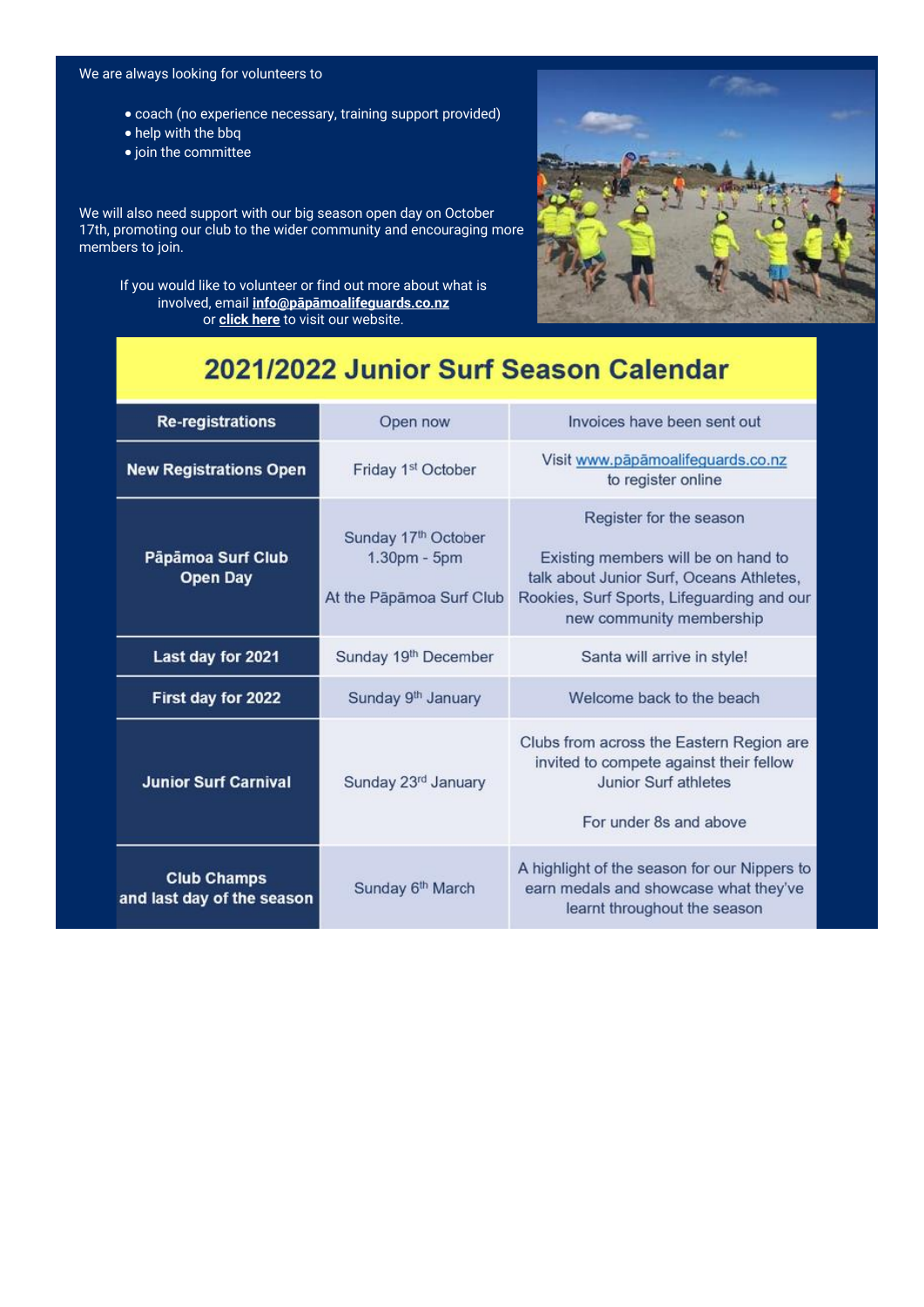#### We are always looking for volunteers to

- coach (no experience necessary, training support provided)
- help with the bbq
- join the committee

We will also need support with our big season open day on October 17th, promoting our club to the wider community and encouraging more members to join.

If you would like to volunteer or find out more about what is involved, email **[info@pāpāmoalifeguards.co.nz](http://info@xn--ppmoalifeguards-9xbb.co.nz/)** or **[click here](https://papamoalifeguards.co.nz/junior-surf)** to visit our website.



## 2021/2022 Junior Surf Season Calendar

| <b>Re-registrations</b>                          | Open now                                                                    | Invoices have been sent out                                                                                                                                                          |
|--------------------------------------------------|-----------------------------------------------------------------------------|--------------------------------------------------------------------------------------------------------------------------------------------------------------------------------------|
| <b>New Registrations Open</b>                    | Friday 1 <sup>st</sup> October                                              | Visit www.pāpāmoalifeguards.co.nz<br>to register online                                                                                                                              |
| Pāpāmoa Surf Club<br><b>Open Day</b>             | Sunday 17 <sup>th</sup> October<br>1.30pm - 5pm<br>At the Päpämoa Surf Club | Register for the season<br>Existing members will be on hand to<br>talk about Junior Surf, Oceans Athletes,<br>Rookies, Surf Sports, Lifeguarding and our<br>new community membership |
| Last day for 2021                                | Sunday 19th December                                                        | Santa will arrive in style!                                                                                                                                                          |
| First day for 2022                               | Sunday 9th January                                                          | Welcome back to the beach                                                                                                                                                            |
| <b>Junior Surf Carnival</b>                      | Sunday 23rd January                                                         | Clubs from across the Eastern Region are<br>invited to compete against their fellow<br>Junior Surf athletes<br>For under 8s and above                                                |
| <b>Club Champs</b><br>and last day of the season | Sunday 6th March                                                            | A highlight of the season for our Nippers to<br>earn medals and showcase what they've<br>learnt throughout the season                                                                |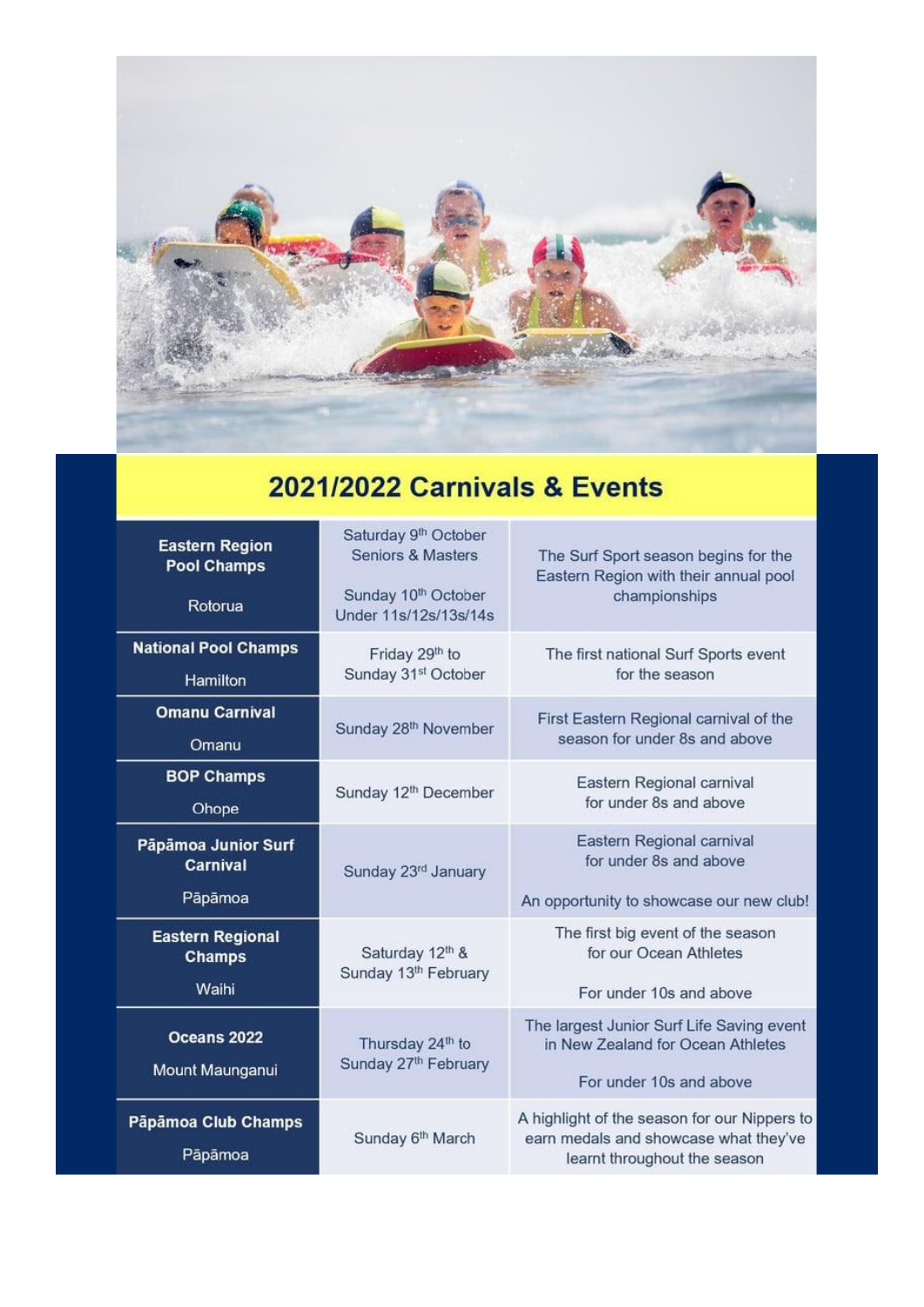

## **2021/2022 Carnivals & Events**

| <b>Eastern Region</b><br><b>Pool Champs</b><br>Rotorua | Saturday 9th October<br><b>Seniors &amp; Masters</b><br>Sunday 10 <sup>th</sup> October<br>Under 11s/12s/13s/14s | The Surf Sport season begins for the<br>Eastern Region with their annual pool<br>championships                        |
|--------------------------------------------------------|------------------------------------------------------------------------------------------------------------------|-----------------------------------------------------------------------------------------------------------------------|
| <b>National Pool Champs</b><br>Hamilton                | Friday 29th to<br>Sunday 31st October                                                                            | The first national Surf Sports event<br>for the season                                                                |
| <b>Omanu Carnival</b><br>Omanu                         | Sunday 28 <sup>th</sup> November                                                                                 | First Eastern Regional carnival of the<br>season for under 8s and above                                               |
| <b>BOP Champs</b><br>Ohope                             | Sunday 12 <sup>th</sup> December                                                                                 | Eastern Regional carnival<br>for under 8s and above                                                                   |
| Pāpāmoa Junior Surf<br><b>Carnival</b><br>Pāpāmoa      | Sunday 23rd January                                                                                              | Eastern Regional carnival<br>for under 8s and above<br>An opportunity to showcase our new club!                       |
| <b>Eastern Regional</b><br><b>Champs</b><br>Waihi      | Saturday 12th &<br>Sunday 13th February                                                                          | The first big event of the season<br>for our Ocean Athletes<br>For under 10s and above                                |
| Oceans 2022<br>Mount Maunganui                         | Thursday 24th to<br>Sunday 27th February                                                                         | The largest Junior Surf Life Saving event<br>in New Zealand for Ocean Athletes<br>For under 10s and above             |
| Pāpāmoa Club Champs<br>Pāpāmoa                         | Sunday 6th March                                                                                                 | A highlight of the season for our Nippers to<br>earn medals and showcase what they've<br>learnt throughout the season |